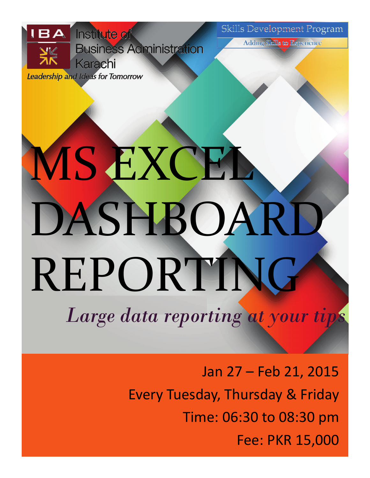Skills Development Program



**Leadership and Ideas for Tomorrow** 

**Adding Skills to Experience** 

# **MS EXCEL** DASHBOARD REPORTING *Large data reporting at your tips*

Jan 27 – Feb 21, 2015 Every Tuesday, Thursday & Friday Time: 06:30 to 08:30 pm Fee: PKR 15,000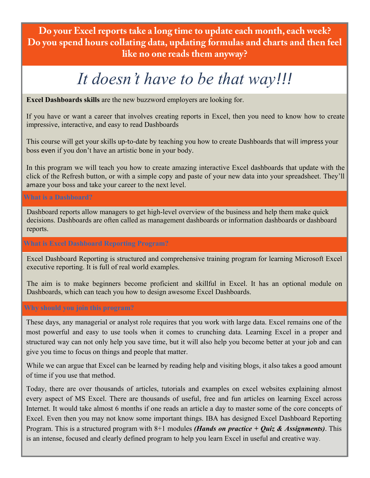**Do your Excel reports take a long time to update each month, each week? Do you spend hours collating data, updating formulas and charts and then feel like no one reads them anyway?** 

# *It doesn't have to be that way!!!*

**Excel Dashboards skills** are the new buzzword employers are looking for.

If you have or want a career that involves creating reports in Excel, then you need to know how to create impressive, interactive, and easy to read Dashboards

This course will get your skills up-to-date by teaching you how to create Dashboards that will impress your boss even if you don't have an artistic bone in your body.

In this program we will teach you how to create amazing interactive Excel dashboards that update with the click of the Refresh button, or with a simple copy and paste of your new data into your spreadsheet. They'll amaze your boss and take your career to the next level.

# **What is a Dashboard?**

Dashboard reports allow managers to get high-level overview of the business and help them make quick decisions. Dashboards are often called as management dashboards or information dashboards or dashboard reports.

# **What is Excel Dashboard Reporting Program?**

Excel Dashboard Reporting is structured and comprehensive training program for learning Microsoft Excel executive reporting. It is full of real world examples.

The aim is to make beginners become proficient and skillful in Excel. It has an optional module on Dashboards, which can teach you how to design awesome Excel Dashboards.

# **Why should you join this program?**

These days, any managerial or analyst role requires that you work with large data. Excel remains one of the most powerful and easy to use tools when it comes to crunching data. Learning Excel in a proper and structured way can not only help you save time, but it will also help you become better at your job and can give you time to focus on things and people that matter.

While we can argue that Excel can be learned by reading help and visiting blogs, it also takes a good amount of time if you use that method.

Today, there are over thousands of articles, tutorials and examples on excel websites explaining almost every aspect of MS Excel. There are thousands of useful, free and fun articles on learning Excel across Internet. It would take almost 6 months if one reads an article a day to master some of the core concepts of Excel. Even then you may not know some important things. IBA has designed Excel Dashboard Reporting Program. This is a structured program with 8+1 modules *(Hands on practice + Quiz & Assignments)*. This is an intense, focused and clearly defined program to help you learn Excel in useful and creative way.